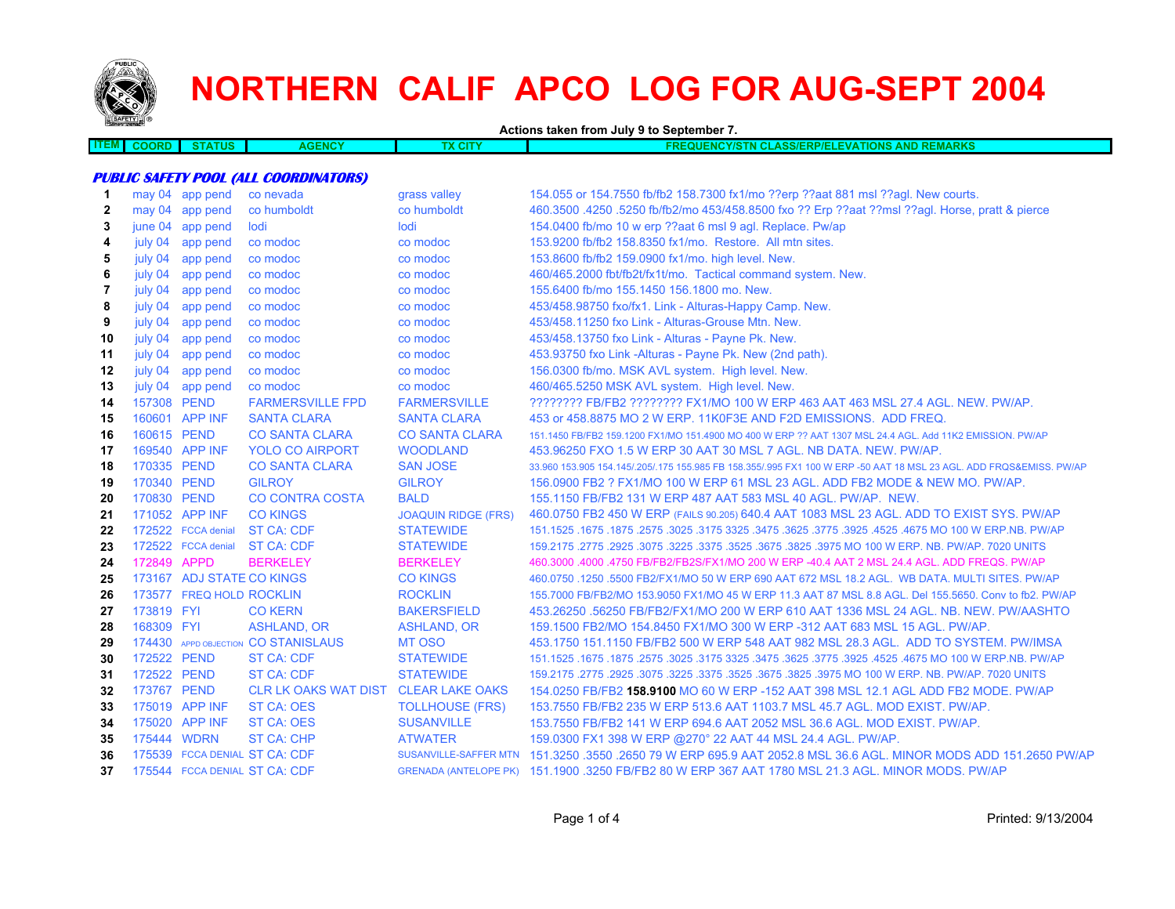

## **NORTHERN CALIF APCO LOG FOR AUG-SEPT 2004**

**Actions taken from July 9 to September 7.**

|  | OR. |  | <b>AGENCY</b> |  | <b>AND REMARK</b><br>12P/E<br><b>TIONS</b><br><b>ASSI</b> |
|--|-----|--|---------------|--|-----------------------------------------------------------|
|  |     |  |               |  |                                                           |

## **PUBLIC SAFETY POOL (ALL COORDINATORS)**

| 1            |             | may 04 app pend           | co nevada                            | grass valley               | 154.055 or 154.7550 fb/fb2 158.7300 fx1/mo ??erp ??aat 881 msl ??agl. New courts.                                   |
|--------------|-------------|---------------------------|--------------------------------------|----------------------------|---------------------------------------------------------------------------------------------------------------------|
| $\mathbf{2}$ |             | may 04 app pend           | co humboldt                          | co humboldt                | 460.3500 .4250 .5250 fb/fb2/mo 453/458.8500 fxo ?? Erp ??aat ??msl ??agl. Horse, pratt & pierce                     |
| 3            |             | june 04 app pend          | lodi                                 | lodi                       | 154.0400 fb/mo 10 w erp ??aat 6 msl 9 agl. Replace. Pw/ap                                                           |
| 4            | july 04     | app pend                  | co modoc                             | co modoc                   | 153.9200 fb/fb2 158.8350 fx1/mo. Restore. All mtn sites.                                                            |
| 5            | july 04     | app pend                  | co modoc                             | co modoc                   | 153.8600 fb/fb2 159.0900 fx1/mo. high level. New.                                                                   |
| 6            | july 04     | app pend                  | co modoc                             | co modoc                   | 460/465.2000 fbt/fb2t/fx1t/mo. Tactical command system. New.                                                        |
| 7            | july 04     | app pend                  | co modoc                             | co modoc                   | 155.6400 fb/mo 155.1450 156.1800 mo. New.                                                                           |
| 8            | july 04     | app pend                  | co modoc                             | co modoc                   | 453/458.98750 fxo/fx1. Link - Alturas-Happy Camp. New.                                                              |
| 9            | july 04     | app pend                  | co modoc                             | co modoc                   | 453/458.11250 fxo Link - Alturas-Grouse Mtn. New.                                                                   |
| 10           | july 04     | app pend                  | co modoc                             | co modoc                   | 453/458.13750 fxo Link - Alturas - Payne Pk. New.                                                                   |
| 11           | july 04     | app pend                  | co modoc                             | co modoc                   | 453.93750 fxo Link -Alturas - Payne Pk. New (2nd path).                                                             |
| 12           | july 04     | app pend                  | co modoc                             | co modoc                   | 156.0300 fb/mo. MSK AVL system. High level. New.                                                                    |
| 13           |             | july 04 app pend          | co modoc                             | co modoc                   | 460/465.5250 MSK AVL system. High level. New.                                                                       |
| 14           | 157308 PEND |                           | <b>FARMERSVILLE FPD</b>              | <b>FARMERSVILLE</b>        | ???????? FB/FB2 ??????? FX1/MO 100 W ERP 463 AAT 463 MSL 27.4 AGL. NEW. PW/AP.                                      |
| 15           |             | 160601 APP INF            | <b>SANTA CLARA</b>                   | <b>SANTA CLARA</b>         | 453 or 458,8875 MO 2 W ERP, 11K0F3E AND F2D EMISSIONS. ADD FREQ.                                                    |
| 16           | 160615 PEND |                           | <b>CO SANTA CLARA</b>                | <b>CO SANTA CLARA</b>      | 151.1450 FB/FB2 159.1200 FX1/MO 151.4900 MO 400 W ERP ?? AAT 1307 MSL 24.4 AGL. Add 11K2 EMISSION. PW/AP            |
| 17           |             | 169540 APP INF            | <b>YOLO CO AIRPORT</b>               | <b>WOODLAND</b>            | 453.96250 FXO 1.5 W ERP 30 AAT 30 MSL 7 AGL. NB DATA. NEW. PW/AP.                                                   |
| 18           | 170335 PEND |                           | <b>CO SANTA CLARA</b>                | <b>SAN JOSE</b>            | 33.960 153.905 154.145/.205/.175 155.985 FB 158.355/.995 FX1 100 W ERP -50 AAT 18 MSL 23 AGL. ADD FRQS&EMISS. PW/AP |
| 19           | 170340 PEND |                           | <b>GILROY</b>                        | <b>GILROY</b>              | 156,0900 FB2 ? FX1/MO 100 W ERP 61 MSL 23 AGL, ADD FB2 MODE & NEW MO, PW/AP.                                        |
| 20           | 170830 PEND |                           | <b>CO CONTRA COSTA</b>               | <b>BALD</b>                | 155,1150 FB/FB2 131 W ERP 487 AAT 583 MSL 40 AGL, PW/AP, NEW.                                                       |
| 21           |             | 171052 APP INF            | <b>CO KINGS</b>                      | <b>JOAQUIN RIDGE (FRS)</b> | 460.0750 FB2 450 W ERP (FAILS 90.205) 640.4 AAT 1083 MSL 23 AGL. ADD TO EXIST SYS. PW/AP                            |
| 22           |             | 172522 FCCA denial        | <b>ST CA: CDF</b>                    | <b>STATEWIDE</b>           | 151.1525 .1675 .1675 .3025 .3475 .3625 .3775 .3625 .3625 .3625 .3475 .3625 .3775 .1675 .1675 .1675 .                |
| 23           |             | 172522 FCCA denial        | <b>ST CA: CDF</b>                    | <b>STATEWIDE</b>           | 159,2175,2775,2925,3075,3225,3375,3525,3675,3825,3975 MO 100 W ERP, NB, PW/AP, 7020 UNITS                           |
| 24           | 172849 APPD |                           | <b>BERKELEY</b>                      | <b>BERKELEY</b>            | 460.3000 .4000 .4750 FB/FB2/FB2S/FX1/MO 200 W ERP -40.4 AAT 2 MSL 24.4 AGL. ADD FREQS. PW/AP                        |
| 25           |             | 173167 ADJ STATE CO KINGS |                                      | <b>CO KINGS</b>            | 460.0750 .1250 .5500 FB2/FX1/MO 50 W ERP 690 AAT 672 MSL 18.2 AGL. WB DATA. MULTI SITES. PW/AP                      |
| 26           |             | 173577 FREQ HOLD ROCKLIN  |                                      | <b>ROCKLIN</b>             | 155.7000 FB/FB2/MO 153.9050 FX1/MO 45 W ERP 11.3 AAT 87 MSL 8.8 AGL. Del 155.5650. Conv to fb2. PW/AP               |
| 27           | 173819 FYI  |                           | <b>CO KERN</b>                       | <b>BAKERSFIELD</b>         | 453.26250 .56250 FB/FB2/FX1/MO 200 W ERP 610 AAT 1336 MSL 24 AGL, NB, NEW, PW/AASHTO                                |
| 28           | 168309 FYI  |                           | ASHLAND, OR                          | <b>ASHLAND, OR</b>         | 159.1500 FB2/MO 154.8450 FX1/MO 300 W ERP -312 AAT 683 MSL 15 AGL, PW/AP.                                           |
| 29           |             |                           | 174430 APPD OBJECTION CO STANISLAUS  | <b>MT OSO</b>              | 453.1750 151.1150 FB/FB2 500 W ERP 548 AAT 982 MSL 28.3 AGL. ADD TO SYSTEM. PW/IMSA                                 |
| 30           | 172522 PEND |                           | <b>ST CA: CDF</b>                    | <b>STATEWIDE</b>           | 151.1525 .1675 .1875 .3025 .3175 .3625 .3775 .3925 .3775 .3925 .3475 .3625 .3475 .1675 .1675 .1675 .1675 .1679      |
| 31           | 172522 PEND |                           | <b>ST CA: CDF</b>                    | <b>STATEWIDE</b>           | 159.2175 .2775 .2925 .3075 .3225 .3675 .3625 .3675 .3825 .3975 MO 100 W ERP. NB. PW/AP. 7020 UNITS                  |
| 32           | 173767 PEND |                           | CLR LK OAKS WAT DIST CLEAR LAKE OAKS |                            | 154.0250 FB/FB2 <b>158.9100 MO 60 W ERP -152 AAT 398 MSL 12.1 AGL ADD FB2 MODE. PW/AP</b>                           |
| 33           |             | 175019 APP INF            | <b>ST CA: OES</b>                    | <b>TOLLHOUSE (FRS)</b>     | 153.7550 FB/FB2 235 W ERP 513.6 AAT 1103.7 MSL 45.7 AGL, MOD EXIST, PW/AP.                                          |
| 34           |             | 175020 APP INF            | <b>ST CA: OES</b>                    | <b>SUSANVILLE</b>          | 153.7550 FB/FB2 141 W ERP 694.6 AAT 2052 MSL 36.6 AGL. MOD EXIST. PW/AP.                                            |
| 35           | 175444 WDRN |                           | <b>ST CA: CHP</b>                    | <b>ATWATER</b>             | 159.0300 FX1 398 W ERP @270° 22 AAT 44 MSL 24.4 AGL. PW/AP.                                                         |
| 36           |             |                           | 175539 FCCA DENIAL ST CA: CDF        | SUSANVILLE-SAFFER MTN      | 151.3250 .3550 .2650 79 W ERP 695.9 AAT 2052.8 MSL 36.6 AGL. MINOR MODS ADD 151.2650 PW/AP                          |
| 37           |             |                           | 175544 FCCA DENIAL ST CA: CDF        |                            | GRENADA (ANTELOPE PK) 151,1900,3250 FB/FB2 80 W ERP 367 AAT 1780 MSL 21.3 AGL, MINOR MODS, PW/AP                    |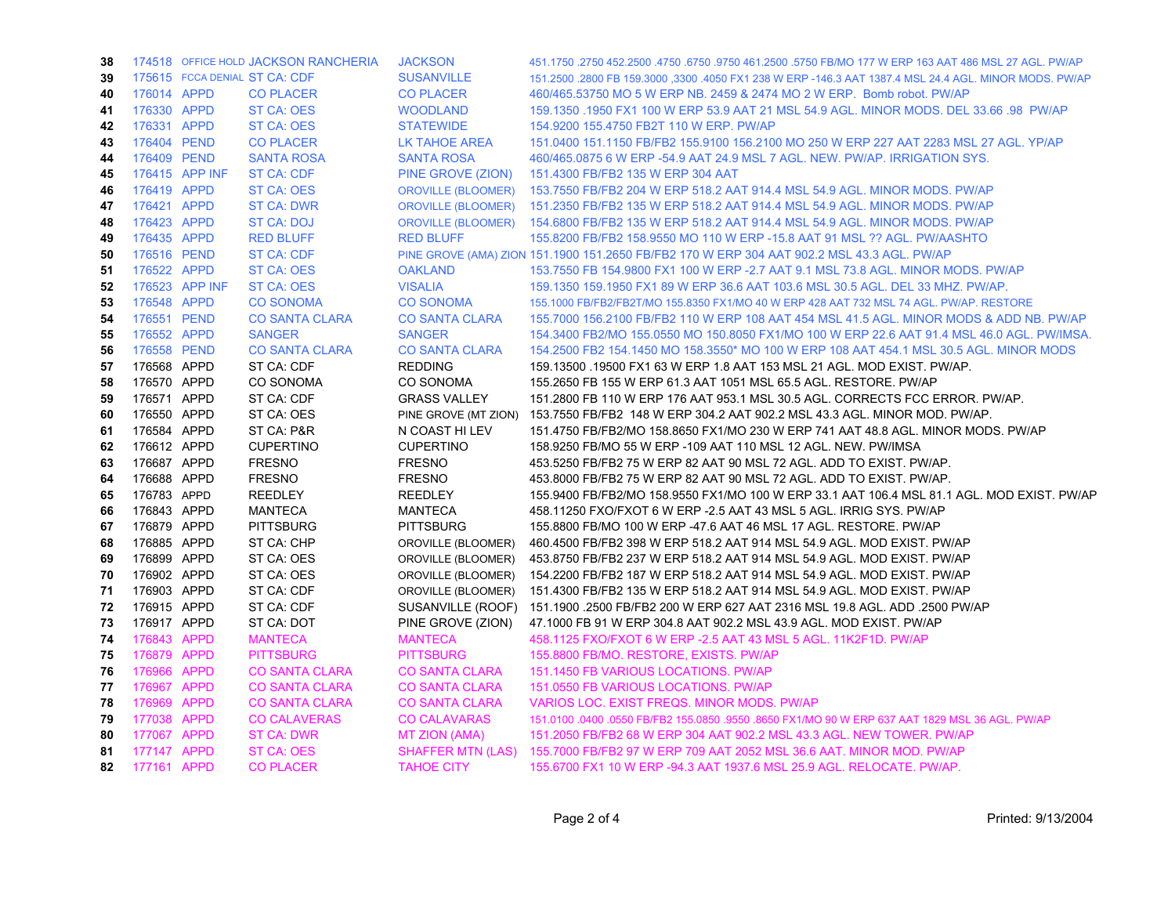| 38 |             |                | 174518 OFFICE HOLD JACKSON RANCHERIA | <b>JACKSON</b>            | 451.1750 .2750 452.2500 .4750 .6750 .9750 461.2500 .5750 FB/MO 177 W ERP 163 AAT 486 MSL 27 AGL. PW/AP |
|----|-------------|----------------|--------------------------------------|---------------------------|--------------------------------------------------------------------------------------------------------|
| 39 |             |                | 175615 FCCA DENIAL ST CA: CDF        | <b>SUSANVILLE</b>         | 151.2500 .2800 FB 159.3000 ,3300 .4050 FX1 238 W ERP -146.3 AAT 1387.4 MSL 24.4 AGL. MINOR MODS. PW/AP |
| 40 | 176014 APPD |                | <b>CO PLACER</b>                     | <b>CO PLACER</b>          | 460/465.53750 MO 5 W ERP NB, 2459 & 2474 MO 2 W ERP. Bomb robot, PW/AP                                 |
| 41 | 176330 APPD |                | <b>ST CA: OES</b>                    | <b>WOODLAND</b>           | 159.1350 .1950 FX1 100 W ERP 53.9 AAT 21 MSL 54.9 AGL, MINOR MODS, DEL 33.66 .98 PW/AP                 |
| 42 | 176331 APPD |                | <b>ST CA: OES</b>                    | <b>STATEWIDE</b>          | 154.9200 155.4750 FB2T 110 W ERP. PW/AP                                                                |
| 43 | 176404 PEND |                | <b>CO PLACER</b>                     | LK TAHOE AREA             | 151.0400 151.1150 FB/FB2 155.9100 156.2100 MO 250 W ERP 227 AAT 2283 MSL 27 AGL. YP/AP                 |
| 44 | 176409 PEND |                | <b>SANTA ROSA</b>                    | <b>SANTA ROSA</b>         | 460/465.0875 6 W ERP -54.9 AAT 24.9 MSL 7 AGL. NEW. PW/AP. IRRIGATION SYS.                             |
| 45 |             | 176415 APP INF | <b>ST CA: CDF</b>                    | PINE GROVE (ZION)         | 151.4300 FB/FB2 135 W ERP 304 AAT                                                                      |
| 46 | 176419 APPD |                | ST CA: OES                           | <b>OROVILLE (BLOOMER)</b> | 153.7550 FB/FB2 204 W ERP 518.2 AAT 914.4 MSL 54.9 AGL. MINOR MODS. PW/AP                              |
| 47 | 176421 APPD |                | <b>ST CA: DWR</b>                    | <b>OROVILLE (BLOOMER)</b> | 151.2350 FB/FB2 135 W ERP 518.2 AAT 914.4 MSL 54.9 AGL. MINOR MODS. PW/AP                              |
| 48 | 176423 APPD |                | ST CA: DOJ                           | <b>OROVILLE (BLOOMER)</b> | 154.6800 FB/FB2 135 W ERP 518.2 AAT 914.4 MSL 54.9 AGL. MINOR MODS. PW/AP                              |
| 49 | 176435 APPD |                | <b>RED BLUFF</b>                     | <b>RED BLUFF</b>          | 155.8200 FB/FB2 158.9550 MO 110 W ERP -15.8 AAT 91 MSL ?? AGL. PW/AASHTO                               |
| 50 | 176516 PEND |                | <b>ST CA: CDF</b>                    |                           | PINE GROVE (AMA) ZION 151.1900 151.2650 FB/FB2 170 W ERP 304 AAT 902.2 MSL 43.3 AGL. PW/AP             |
| 51 | 176522 APPD |                | <b>ST CA: OES</b>                    | <b>OAKLAND</b>            | 153.7550 FB 154.9800 FX1 100 W ERP - 2.7 AAT 9.1 MSL 73.8 AGL, MINOR MODS, PW/AP                       |
| 52 |             | 176523 APP INF | ST CA: OES                           | <b>VISALIA</b>            | 159.1350 159.1950 FX1 89 W ERP 36.6 AAT 103.6 MSL 30.5 AGL. DEL 33 MHZ. PW/AP.                         |
| 53 | 176548 APPD |                | <b>CO SONOMA</b>                     | <b>CO SONOMA</b>          | 155.1000 FB/FB2/FB2T/MO 155.8350 FX1/MO 40 W ERP 428 AAT 732 MSL 74 AGL. PW/AP. RESTORE                |
| 54 | 176551 PEND |                | <b>CO SANTA CLARA</b>                | <b>CO SANTA CLARA</b>     | 155,7000 156,2100 FB/FB2 110 W ERP 108 AAT 454 MSL 41.5 AGL, MINOR MODS & ADD NB, PW/AP                |
| 55 | 176552 APPD |                | <b>SANGER</b>                        | <b>SANGER</b>             | 154.3400 FB2/MO 155.0550 MO 150.8050 FX1/MO 100 W ERP 22.6 AAT 91.4 MSL 46.0 AGL. PW/IMSA.             |
| 56 | 176558 PEND |                | <b>CO SANTA CLARA</b>                | <b>CO SANTA CLARA</b>     | 154.2500 FB2 154.1450 MO 158.3550* MO 100 W ERP 108 AAT 454.1 MSL 30.5 AGL. MINOR MODS                 |
| 57 | 176568 APPD |                | ST CA: CDF                           | <b>REDDING</b>            | 159.13500 .19500 FX1 63 W ERP 1.8 AAT 153 MSL 21 AGL. MOD EXIST. PW/AP.                                |
| 58 | 176570 APPD |                | <b>CO SONOMA</b>                     | CO SONOMA                 | 155.2650 FB 155 W ERP 61.3 AAT 1051 MSL 65.5 AGL. RESTORE. PW/AP                                       |
| 59 | 176571 APPD |                | ST CA: CDF                           | <b>GRASS VALLEY</b>       | 151.2800 FB 110 W ERP 176 AAT 953.1 MSL 30.5 AGL. CORRECTS FCC ERROR. PW/AP.                           |
| 60 | 176550 APPD |                | ST CA: OES                           | PINE GROVE (MT ZION)      | 153.7550 FB/FB2 148 W ERP 304.2 AAT 902.2 MSL 43.3 AGL. MINOR MOD. PW/AP.                              |
| 61 | 176584 APPD |                | ST CA: P&R                           | N COAST HI LEV            | 151.4750 FB/FB2/MO 158.8650 FX1/MO 230 W ERP 741 AAT 48.8 AGL. MINOR MODS. PW/AP                       |
| 62 | 176612 APPD |                | <b>CUPERTINO</b>                     | <b>CUPERTINO</b>          | 158.9250 FB/MO 55 W ERP -109 AAT 110 MSL 12 AGL. NEW. PW/IMSA                                          |
| 63 | 176687 APPD |                | <b>FRESNO</b>                        | <b>FRESNO</b>             | 453.5250 FB/FB2 75 W ERP 82 AAT 90 MSL 72 AGL. ADD TO EXIST. PW/AP.                                    |
| 64 | 176688 APPD |                | <b>FRESNO</b>                        | <b>FRESNO</b>             | 453.8000 FB/FB2 75 W ERP 82 AAT 90 MSL 72 AGL. ADD TO EXIST. PW/AP.                                    |
| 65 | 176783 APPD |                | <b>REEDLEY</b>                       | <b>REEDLEY</b>            | 155.9400 FB/FB2/MO 158.9550 FX1/MO 100 W ERP 33.1 AAT 106.4 MSL 81.1 AGL. MOD EXIST. PW/AP             |
| 66 | 176843 APPD |                | <b>MANTECA</b>                       | <b>MANTECA</b>            | 458,11250 FXO/FXOT 6 W ERP -2.5 AAT 43 MSL 5 AGL. IRRIG SYS. PW/AP                                     |
| 67 | 176879 APPD |                | <b>PITTSBURG</b>                     | <b>PITTSBURG</b>          | 155.8800 FB/MO 100 W ERP -47.6 AAT 46 MSL 17 AGL. RESTORE. PW/AP                                       |
| 68 | 176885 APPD |                | ST CA: CHP                           | OROVILLE (BLOOMER)        | 460.4500 FB/FB2 398 W ERP 518.2 AAT 914 MSL 54.9 AGL. MOD EXIST. PW/AP                                 |
| 69 | 176899 APPD |                | ST CA: OES                           | OROVILLE (BLOOMER)        | 453.8750 FB/FB2 237 W ERP 518.2 AAT 914 MSL 54.9 AGL. MOD EXIST. PW/AP                                 |
| 70 | 176902 APPD |                | ST CA: OES                           | OROVILLE (BLOOMER)        | 154.2200 FB/FB2 187 W ERP 518.2 AAT 914 MSL 54.9 AGL. MOD EXIST. PW/AP                                 |
| 71 | 176903 APPD |                | ST CA: CDF                           | OROVILLE (BLOOMER)        | 151.4300 FB/FB2 135 W ERP 518.2 AAT 914 MSL 54.9 AGL. MOD EXIST. PW/AP                                 |
| 72 | 176915 APPD |                | ST CA: CDF                           | SUSANVILLE (ROOF)         | 151.1900 .2500 FB/FB2 200 W ERP 627 AAT 2316 MSL 19.8 AGL. ADD .2500 PW/AP                             |
| 73 | 176917 APPD |                | ST CA: DOT                           | PINE GROVE (ZION)         | 47.1000 FB 91 W ERP 304.8 AAT 902.2 MSL 43.9 AGL. MOD EXIST. PW/AP                                     |
| 74 | 176843 APPD |                | <b>MANTECA</b>                       | <b>MANTECA</b>            | 458.1125 FXO/FXOT 6 W ERP - 2.5 AAT 43 MSL 5 AGL. 11K2F1D. PW/AP                                       |
| 75 | 176879 APPD |                | <b>PITTSBURG</b>                     | <b>PITTSBURG</b>          | 155.8800 FB/MO. RESTORE, EXISTS. PW/AP                                                                 |
| 76 | 176966 APPD |                | <b>CO SANTA CLARA</b>                | <b>CO SANTA CLARA</b>     | 151.1450 FB VARIOUS LOCATIONS. PW/AP                                                                   |
| 77 | 176967 APPD |                | <b>CO SANTA CLARA</b>                | <b>CO SANTA CLARA</b>     | 151.0550 FB VARIOUS LOCATIONS. PW/AP                                                                   |
| 78 | 176969 APPD |                | <b>CO SANTA CLARA</b>                | <b>CO SANTA CLARA</b>     | VARIOS LOC. EXIST FREQS. MINOR MODS. PW/AP                                                             |
| 79 | 177038 APPD |                | <b>CO CALAVERAS</b>                  | <b>CO CALAVARAS</b>       | 151.0100 .0400 .0550 FB/FB2 155.0850 .9550 .8650 FX1/MO 90 W ERP 637 AAT 1829 MSL 36 AGL. PW/AP        |
| 80 | 177067 APPD |                | <b>ST CA: DWR</b>                    | <b>MT ZION (AMA)</b>      | 151.2050 FB/FB2 68 W ERP 304 AAT 902.2 MSL 43.3 AGL. NEW TOWER. PW/AP                                  |
| 81 | 177147 APPD |                | <b>ST CA: OES</b>                    |                           | SHAFFER MTN (LAS) 155.7000 FB/FB2 97 W ERP 709 AAT 2052 MSL 36.6 AAT. MINOR MOD. PW/AP                 |
| 82 | 177161 APPD |                | <b>CO PLACER</b>                     | <b>TAHOE CITY</b>         | 155,6700 FX1 10 W ERP -94.3 AAT 1937.6 MSL 25.9 AGL, RELOCATE, PW/AP                                   |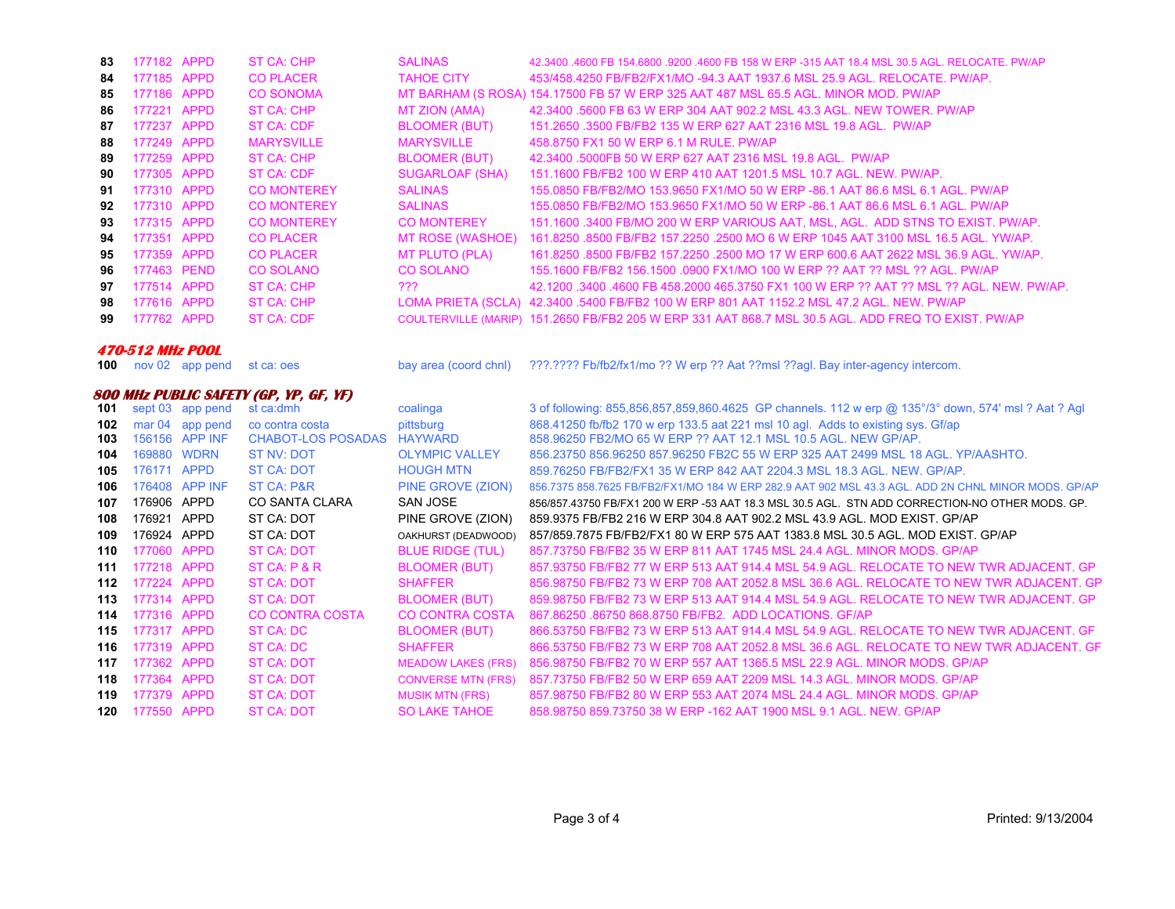| 83 | 177182 APPD | ST CA: CHP         | <b>SALINAS</b>         | 42.3400 .4600 FB 154.6800 .9200 .4600 FB 158 W ERP -315 AAT 18.4 MSL 30.5 AGL, RELOCATE, PW/AP      |
|----|-------------|--------------------|------------------------|-----------------------------------------------------------------------------------------------------|
| 84 | 177185 APPD | <b>CO PLACER</b>   | <b>TAHOE CITY</b>      | 453/458.4250 FB/FB2/FX1/MO -94.3 AAT 1937.6 MSL 25.9 AGL. RELOCATE, PW/AP.                          |
| 85 | 177186 APPD | <b>CO SONOMA</b>   |                        | MT BARHAM (S ROSA) 154.17500 FB 57 W ERP 325 AAT 487 MSL 65.5 AGL. MINOR MOD. PW/AP                 |
| 86 | 177221 APPD | ST CA: CHP         | MT ZION (AMA)          | 42.3400 .5600 FB 63 W ERP 304 AAT 902.2 MSL 43.3 AGL. NEW TOWER, PW/AP                              |
| 87 | 177237 APPD | ST CA: CDF         | <b>BLOOMER (BUT)</b>   | 151.2650 .3500 FB/FB2 135 W ERP 627 AAT 2316 MSL 19.8 AGL, PW/AP                                    |
| 88 | 177249 APPD | <b>MARYSVILLE</b>  | <b>MARYSVILLE</b>      | 458,8750 FX1 50 W ERP 6.1 M RULE, PW/AP                                                             |
| 89 | 177259 APPD | ST CA: CHP         | <b>BLOOMER (BUT)</b>   | 42.3400 .5000FB 50 W ERP 627 AAT 2316 MSL 19.8 AGL. PW/AP                                           |
| 90 | 177305 APPD | ST CA: CDF         | <b>SUGARLOAF (SHA)</b> | 151.1600 FB/FB2 100 W ERP 410 AAT 1201.5 MSL 10.7 AGL. NEW. PW/AP.                                  |
| 91 | 177310 APPD | <b>CO MONTEREY</b> | <b>SALINAS</b>         | 155,0850 FB/FB2/MO 153,9650 FX1/MO 50 W ERP -86.1 AAT 86.6 MSL 6.1 AGL, PW/AP                       |
| 92 | 177310 APPD | <b>CO MONTEREY</b> | <b>SALINAS</b>         | 155,0850 FB/FB2/MO 153,9650 FX1/MO 50 W ERP -86.1 AAT 86.6 MSL 6.1 AGL, PW/AP                       |
| 93 | 177315 APPD | <b>CO MONTEREY</b> | <b>CO MONTEREY</b>     | 151.1600 .3400 FB/MO 200 W ERP VARIOUS AAT, MSL, AGL. ADD STNS TO EXIST. PW/AP.                     |
| 94 | 177351 APPD | <b>CO PLACER</b>   | MT ROSE (WASHOE)       | 161.8250 .8500 FB/FB2 157.2250 .2500 MO 6 W ERP 1045 AAT 3100 MSL 16.5 AGL, YW/AP,                  |
| 95 | 177359 APPD | <b>CO PLACER</b>   | MT PLUTO (PLA)         | 161.8250 .8500 FB/FB2 157.2250 .2500 MO 17 W ERP 600.6 AAT 2622 MSL 36.9 AGL, YW/AP,                |
| 96 | 177463 PEND | CO SOLANO          | CO SOLANO              | 155.1600 FB/FB2 156.1500 .0900 FX1/MO 100 W ERP ?? AAT ?? MSL ?? AGL. PW/AP                         |
| 97 | 177514 APPD | ST CA: CHP         | ???                    | 42.1200 .3400 .4600 FB 458.2000 465.3750 FX1 100 W ERP ?? AAT ?? MSL ?? AGL. NEW. PW/AP.            |
| 98 | 177616 APPD | ST CA: CHP         |                        | LOMA PRIETA (SCLA) 42.3400 .5400 FB/FB2 100 W ERP 801 AAT 1152.2 MSL 47.2 AGL. NEW. PW/AP           |
| 99 | 177762 APPD | ST CA: CDF         |                        | COULTERVILLE (MARIP) 151.2650 FB/FB2 205 W ERP 331 AAT 868.7 MSL 30.5 AGL. ADD FREQ TO EXIST. PW/AP |
|    |             |                    |                        |                                                                                                     |

## **470-512 MHz POOL**

**100** nov 02 app pe

## **800 MHz PUBLIC SAFETY (GP, YP, GF, YF)**

| 101 |             | sept 03 app pend | st ca:dmh                 | coalinga                  | 3 of following: 855,856,857,859,860.4625 GP channels. 112 w erp @ 135°/3° down, 574' msl ? Aat ? Agl |
|-----|-------------|------------------|---------------------------|---------------------------|------------------------------------------------------------------------------------------------------|
| 102 |             | mar 04 app pend  | co contra costa           | pittsburg                 | 868.41250 fb/fb2 170 w erp 133.5 aat 221 msl 10 agl. Adds to existing sys. Gf/ap                     |
| 103 |             | 156156 APP INF   | <b>CHABOT-LOS POSADAS</b> | <b>HAYWARD</b>            | 858.96250 FB2/MO 65 W ERP ?? AAT 12.1 MSL 10.5 AGL. NEW GP/AP.                                       |
| 104 | 169880 WDRN |                  | ST NV: DOT                | <b>OLYMPIC VALLEY</b>     | 856.23750 856.96250 857.96250 FB2C 55 W ERP 325 AAT 2499 MSL 18 AGL, YP/AASHTO.                      |
| 105 | 176171      | <b>APPD</b>      | <b>ST CA: DOT</b>         | <b>HOUGH MTN</b>          | 859.76250 FB/FB2/FX1 35 W ERP 842 AAT 2204.3 MSL 18.3 AGL, NEW, GP/AP.                               |
| 106 |             | 176408 APP INF   | ST CA: P&R                | PINE GROVE (ZION)         | 856.7375 858.7625 FB/FB2/FX1/MO 184 W ERP 282.9 AAT 902 MSL 43.3 AGL, ADD 2N CHNL MINOR MODS, GP/AP  |
| 107 | 176906 APPD |                  | CO SANTA CLARA            | SAN JOSE                  | 856/857.43750 FB/FX1 200 W ERP -53 AAT 18.3 MSL 30.5 AGL. STN ADD CORRECTION-NO OTHER MODS. GP.      |
| 108 | 176921      | APPD             | ST CA: DOT                | PINE GROVE (ZION)         | 859.9375 FB/FB2 216 W ERP 304.8 AAT 902.2 MSL 43.9 AGL. MOD EXIST. GP/AP                             |
| 109 | 176924 APPD |                  | ST CA: DOT                | OAKHURST (DEADWOOD)       | 857/859.7875 FB/FB2/FX1 80 W ERP 575 AAT 1383.8 MSL 30.5 AGL, MOD EXIST, GP/AP                       |
| 110 | 177060      | <b>APPD</b>      | ST CA: DOT                | <b>BLUE RIDGE (TUL)</b>   | 857 73750 FB/FB2 35 W ERP 811 AAT 1745 MSL 24.4 AGL, MINOR MODS, GP/AP                               |
| 111 | 177218 APPD |                  | ST CA: P & R              | <b>BLOOMER (BUT)</b>      | 857,93750 FB/FB2 77 W ERP 513 AAT 914.4 MSL 54.9 AGL, RELOCATE TO NEW TWR ADJACENT, GP               |
| 112 | 177224 APPD |                  | ST CA: DOT                | <b>SHAFFER</b>            | 856.98750 FB/FB2 73 W ERP 708 AAT 2052.8 MSL 36.6 AGL. RELOCATE TO NEW TWR ADJACENT. GP              |
| 113 | 177314 APPD |                  | <b>ST CA: DOT</b>         | <b>BLOOMER (BUT)</b>      | 859.98750 FB/FB2 73 W ERP 513 AAT 914.4 MSL 54.9 AGL. RELOCATE TO NEW TWR ADJACENT. GP               |
| 114 | 177316 APPD |                  | CO CONTRA COSTA           | CO CONTRA COSTA           | 867.86250.86750.868.8750 FB/FB2. ADD LOCATIONS. GF/AP                                                |
| 115 | 177317      | <b>APPD</b>      | ST CA: DC                 | <b>BLOOMER (BUT)</b>      | 866.53750 FB/FB2 73 W ERP 513 AAT 914.4 MSL 54.9 AGL. RELOCATE TO NEW TWR ADJACENT. GF               |
| 116 | 177319 APPD |                  | ST CA: DC                 | <b>SHAFFER</b>            | 866.53750 FB/FB2 73 W ERP 708 AAT 2052.8 MSL 36.6 AGL. RELOCATE TO NEW TWR ADJACENT. GF              |
| 117 | 177362      | <b>APPD</b>      | ST CA: DOT                | <b>MEADOW LAKES (FRS)</b> | 856,98750 FB/FB2 70 W ERP 557 AAT 1365.5 MSL 22.9 AGL, MINOR MODS, GP/AP                             |
| 118 | 177364      | <b>APPD</b>      | ST CA: DOT                | <b>CONVERSE MTN (FRS)</b> | 857.73750 FB/FB2 50 W ERP 659 AAT 2209 MSL 14.3 AGL. MINOR MODS, GP/AP                               |
| 119 | 177379      | <b>APPD</b>      | <b>ST CA: DOT</b>         | <b>MUSIK MTN (FRS)</b>    | 857,98750 FB/FB2 80 W ERP 553 AAT 2074 MSL 24.4 AGL, MINOR MODS, GP/AP                               |
| 120 | 177550 APPD |                  | <b>ST CA: DOT</b>         | <b>SO LAKE TAHOE</b>      | 858,98750 859,73750 38 W ERP -162 AAT 1900 MSL 9.1 AGL, NEW, GP/AP                                   |

bay area (coord chnl) ???.???? Fb/fb2/fx1/mo ?? W erp ?? Aat ??msl ??agl. Bay inter-agency intercom.